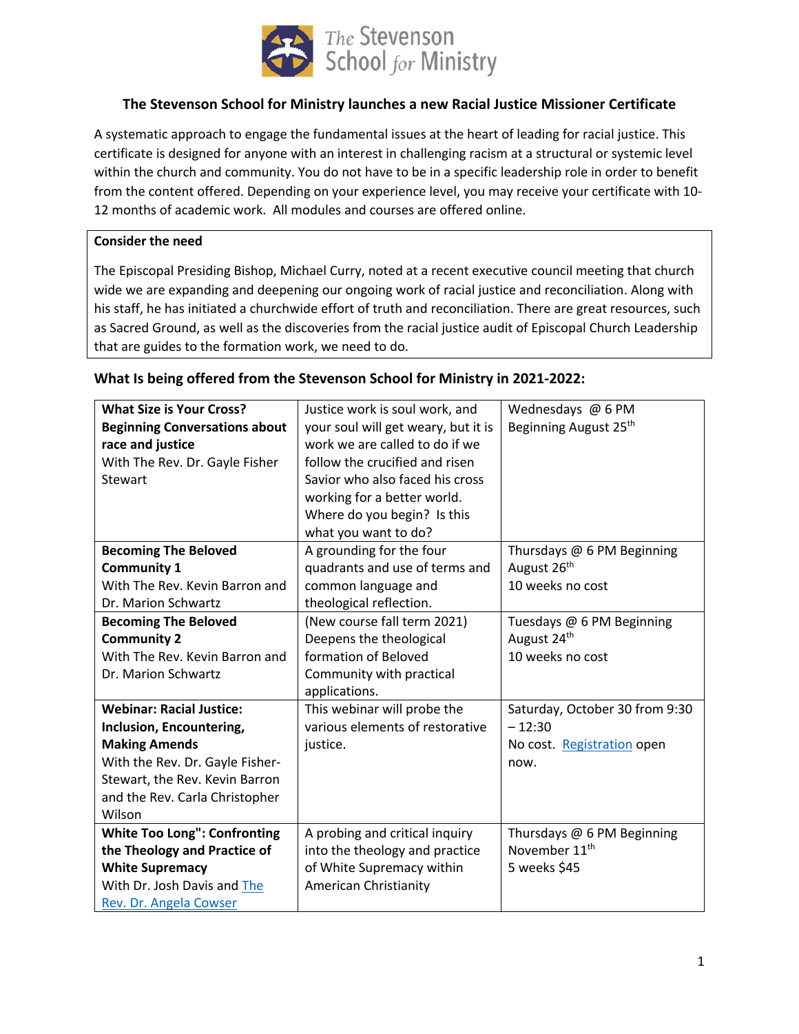

# **The Stevenson School for Ministry launches a new Racial Justice Missioner Certificate**

A systematic approach to engage the fundamental issues at the heart of leading for racial justice. This certificate is designed for anyone with an interest in challenging racism at a structural or systemic level within the church and community. You do not have to be in a specific leadership role in order to benefit from the content offered. Depending on your experience level, you may receive your certificate with 10- 12 months of academic work. All modules and courses are offered online.

### **Consider the need**

The Episcopal Presiding Bishop, Michael Curry, noted at a recent executive council meeting that church wide we are expanding and deepening our ongoing work of racial justice and reconciliation. Along with his staff, he has initiated a churchwide effort of truth and reconciliation. There are great resources, such as Sacred Ground, as well as the discoveries from the racial justice audit of Episcopal Church Leadership that are guides to the formation work, we need to do.

| <b>What Size is Your Cross?</b>      | Justice work is soul work, and      | Wednesdays @ 6 PM                 |
|--------------------------------------|-------------------------------------|-----------------------------------|
| <b>Beginning Conversations about</b> | your soul will get weary, but it is | Beginning August 25 <sup>th</sup> |
| race and justice                     | work we are called to do if we      |                                   |
| With The Rev. Dr. Gayle Fisher       | follow the crucified and risen      |                                   |
| Stewart                              | Savior who also faced his cross     |                                   |
|                                      | working for a better world.         |                                   |
|                                      | Where do you begin? Is this         |                                   |
|                                      | what you want to do?                |                                   |
| <b>Becoming The Beloved</b>          | A grounding for the four            | Thursdays @ 6 PM Beginning        |
| <b>Community 1</b>                   | quadrants and use of terms and      | August 26 <sup>th</sup>           |
| With The Rev. Kevin Barron and       | common language and                 | 10 weeks no cost                  |
| Dr. Marion Schwartz                  | theological reflection.             |                                   |
| <b>Becoming The Beloved</b>          | (New course fall term 2021)         | Tuesdays @ 6 PM Beginning         |
| <b>Community 2</b>                   | Deepens the theological             | August 24 <sup>th</sup>           |
| With The Rev. Kevin Barron and       | formation of Beloved                | 10 weeks no cost                  |
| Dr. Marion Schwartz                  | Community with practical            |                                   |
|                                      | applications.                       |                                   |
| <b>Webinar: Racial Justice:</b>      | This webinar will probe the         | Saturday, October 30 from 9:30    |
| Inclusion, Encountering,             | various elements of restorative     | $-12:30$                          |
| <b>Making Amends</b>                 | justice.                            | No cost. Registration open        |
| With the Rev. Dr. Gayle Fisher-      |                                     | now.                              |
| Stewart, the Rev. Kevin Barron       |                                     |                                   |
| and the Rev. Carla Christopher       |                                     |                                   |
| Wilson                               |                                     |                                   |
| <b>White Too Long": Confronting</b>  | A probing and critical inquiry      | Thursdays @ 6 PM Beginning        |
| the Theology and Practice of         | into the theology and practice      | November 11 <sup>th</sup>         |
| <b>White Supremacy</b>               | of White Supremacy within           | 5 weeks \$45                      |
| With Dr. Josh Davis and The          | American Christianity               |                                   |
| Rev. Dr. Angela Cowser               |                                     |                                   |

### **What Is being offered from the Stevenson School for Ministry in 2021-2022:**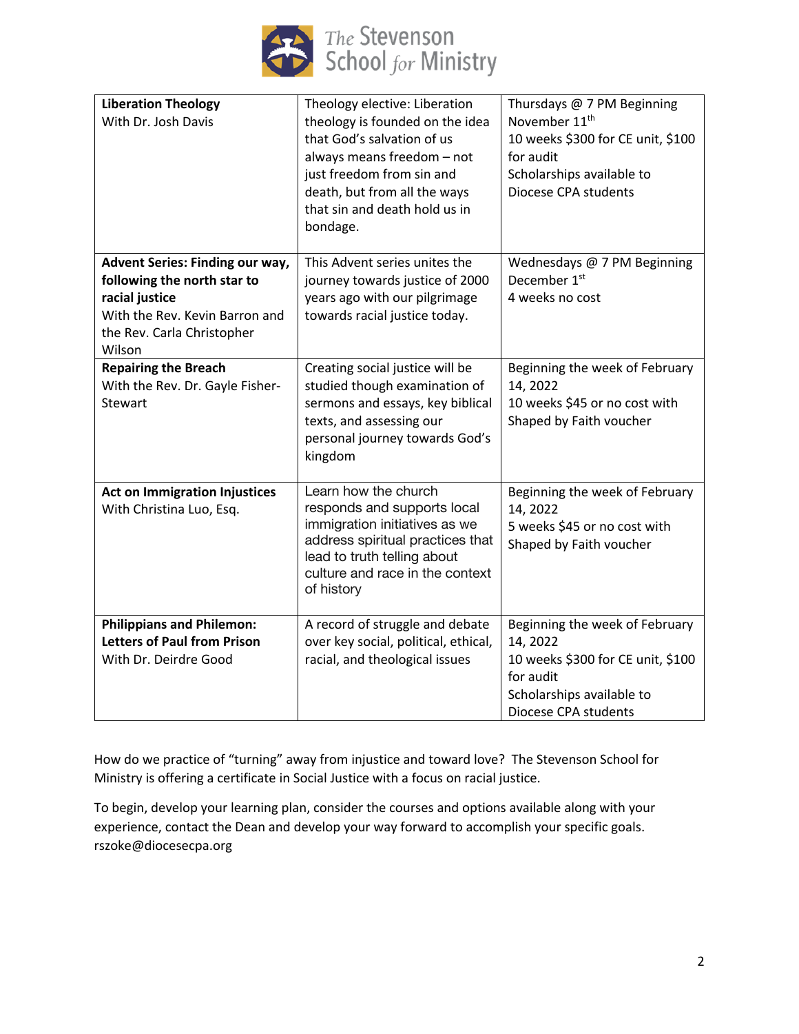

| <b>Liberation Theology</b><br>With Dr. Josh Davis                                                                                                                 | Theology elective: Liberation<br>theology is founded on the idea<br>that God's salvation of us<br>always means freedom - not<br>just freedom from sin and<br>death, but from all the ways<br>that sin and death hold us in<br>bondage. | Thursdays @ 7 PM Beginning<br>November 11 <sup>th</sup><br>10 weeks \$300 for CE unit, \$100<br>for audit<br>Scholarships available to<br>Diocese CPA students |
|-------------------------------------------------------------------------------------------------------------------------------------------------------------------|----------------------------------------------------------------------------------------------------------------------------------------------------------------------------------------------------------------------------------------|----------------------------------------------------------------------------------------------------------------------------------------------------------------|
| <b>Advent Series: Finding our way,</b><br>following the north star to<br>racial justice<br>With the Rev. Kevin Barron and<br>the Rev. Carla Christopher<br>Wilson | This Advent series unites the<br>journey towards justice of 2000<br>years ago with our pilgrimage<br>towards racial justice today.                                                                                                     | Wednesdays @ 7 PM Beginning<br>December 1 <sup>st</sup><br>4 weeks no cost                                                                                     |
| <b>Repairing the Breach</b><br>With the Rev. Dr. Gayle Fisher-<br><b>Stewart</b>                                                                                  | Creating social justice will be<br>studied though examination of<br>sermons and essays, key biblical<br>texts, and assessing our<br>personal journey towards God's<br>kingdom                                                          | Beginning the week of February<br>14, 2022<br>10 weeks \$45 or no cost with<br>Shaped by Faith voucher                                                         |
| <b>Act on Immigration Injustices</b><br>With Christina Luo, Esq.                                                                                                  | Learn how the church<br>responds and supports local<br>immigration initiatives as we<br>address spiritual practices that<br>lead to truth telling about<br>culture and race in the context<br>of history                               | Beginning the week of February<br>14, 2022<br>5 weeks \$45 or no cost with<br>Shaped by Faith voucher                                                          |
| <b>Philippians and Philemon:</b><br><b>Letters of Paul from Prison</b><br>With Dr. Deirdre Good                                                                   | A record of struggle and debate<br>over key social, political, ethical,<br>racial, and theological issues                                                                                                                              | Beginning the week of February<br>14, 2022<br>10 weeks \$300 for CE unit, \$100<br>for audit<br>Scholarships available to<br>Diocese CPA students              |

How do we practice of "turning" away from injustice and toward love? The Stevenson School for Ministry is offering a certificate in Social Justice with a focus on racial justice.

To begin, develop your learning plan, consider the courses and options available along with your experience, contact the Dean and develop your way forward to accomplish your specific goals. rszoke@diocesecpa.org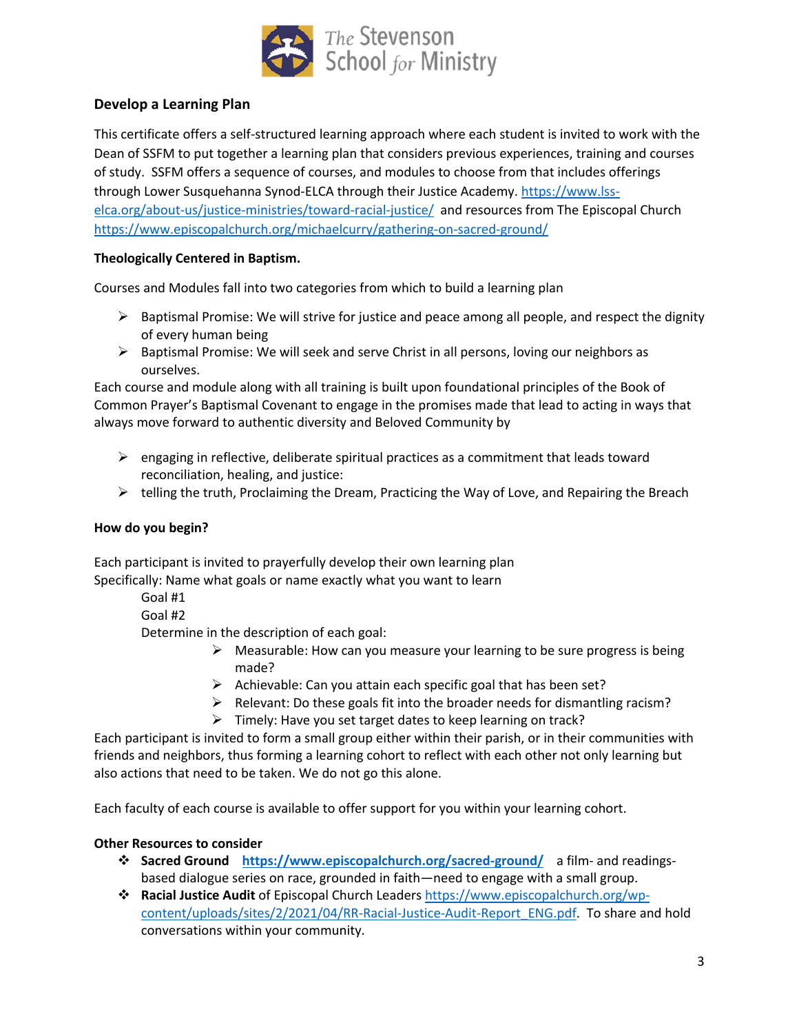

# **Develop a Learning Plan**

This certificate offers a self-structured learning approach where each student is invited to work with the Dean of SSFM to put together a learning plan that considers previous experiences, training and courses of study. SSFM offers a sequence of courses, and modules to choose from that includes offerings through Lower Susquehanna Synod-ELCA through their Justice Academy. https://www.lsselca.org/about-us/justice-ministries/toward-racial-justice/ and resources from The Episcopal Church https://www.episcopalchurch.org/michaelcurry/gathering-on-sacred-ground/

### **Theologically Centered in Baptism.**

Courses and Modules fall into two categories from which to build a learning plan

- $\triangleright$  Baptismal Promise: We will strive for justice and peace among all people, and respect the dignity of every human being
- $\triangleright$  Baptismal Promise: We will seek and serve Christ in all persons, loving our neighbors as ourselves.

Each course and module along with all training is built upon foundational principles of the Book of Common Prayer's Baptismal Covenant to engage in the promises made that lead to acting in ways that always move forward to authentic diversity and Beloved Community by

- $\triangleright$  engaging in reflective, deliberate spiritual practices as a commitment that leads toward reconciliation, healing, and justice:
- $\triangleright$  telling the truth, Proclaiming the Dream, Practicing the Way of Love, and Repairing the Breach

### **How do you begin?**

Each participant is invited to prayerfully develop their own learning plan Specifically: Name what goals or name exactly what you want to learn

Goal #1

Goal #2

Determine in the description of each goal:

- $\triangleright$  Measurable: How can you measure your learning to be sure progress is being made?
- $\triangleright$  Achievable: Can you attain each specific goal that has been set?
- $\triangleright$  Relevant: Do these goals fit into the broader needs for dismantling racism?
- $\triangleright$  Timely: Have you set target dates to keep learning on track?

Each participant is invited to form a small group either within their parish, or in their communities with friends and neighbors, thus forming a learning cohort to reflect with each other not only learning but also actions that need to be taken. We do not go this alone.

Each faculty of each course is available to offer support for you within your learning cohort.

### **Other Resources to consider**

- **<sup>❖</sup> Sacred Ground** https://www.episcopalchurch.org/sacred-ground/ a film- and readingsbased dialogue series on race, grounded in faith—need to engage with a small group.
- v **Racial Justice Audit** of Episcopal Church Leaders https://www.episcopalchurch.org/wpcontent/uploads/sites/2/2021/04/RR-Racial-Justice-Audit-Report\_ENG.pdf. To share and hold conversations within your community.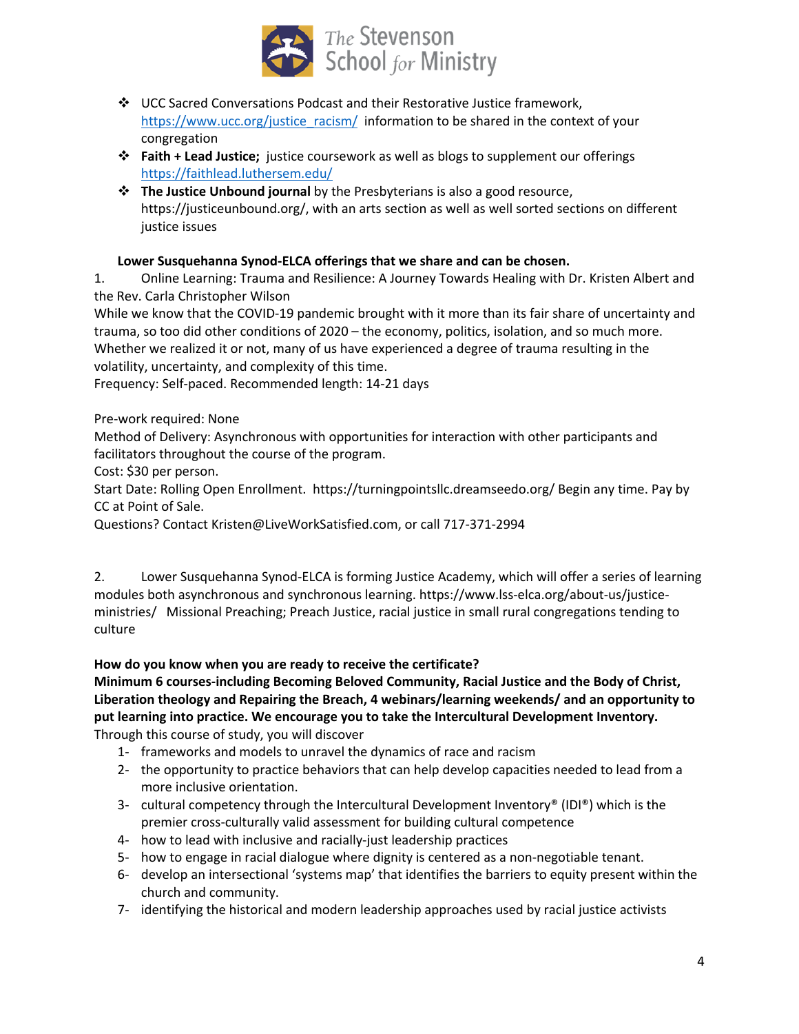

- $\div$  UCC Sacred Conversations Podcast and their Restorative Justice framework, https://www.ucc.org/justice\_racism/ information to be shared in the context of your congregation
- v **Faith + Lead Justice;** justice coursework as well as blogs to supplement our offerings https://faithlead.luthersem.edu/
- v **The Justice Unbound journal** by the Presbyterians is also a good resource, https://justiceunbound.org/, with an arts section as well as well sorted sections on different justice issues

# **Lower Susquehanna Synod-ELCA offerings that we share and can be chosen.**

1. Online Learning: Trauma and Resilience: A Journey Towards Healing with Dr. Kristen Albert and the Rev. Carla Christopher Wilson

While we know that the COVID-19 pandemic brought with it more than its fair share of uncertainty and trauma, so too did other conditions of 2020 – the economy, politics, isolation, and so much more. Whether we realized it or not, many of us have experienced a degree of trauma resulting in the volatility, uncertainty, and complexity of this time.

Frequency: Self-paced. Recommended length: 14-21 days

Pre-work required: None

Method of Delivery: Asynchronous with opportunities for interaction with other participants and facilitators throughout the course of the program.

Cost: \$30 per person.

Start Date: Rolling Open Enrollment. https://turningpointsllc.dreamseedo.org/ Begin any time. Pay by CC at Point of Sale.

Questions? Contact Kristen@LiveWorkSatisfied.com, or call 717-371-2994

2. Lower Susquehanna Synod-ELCA is forming Justice Academy, which will offer a series of learning modules both asynchronous and synchronous learning. https://www.lss-elca.org/about-us/justiceministries/ Missional Preaching; Preach Justice, racial justice in small rural congregations tending to culture

# **How do you know when you are ready to receive the certificate?**

**Minimum 6 courses-including Becoming Beloved Community, Racial Justice and the Body of Christ, Liberation theology and Repairing the Breach, 4 webinars/learning weekends/ and an opportunity to put learning into practice. We encourage you to take the Intercultural Development Inventory.**  Through this course of study, you will discover

- 1- frameworks and models to unravel the dynamics of race and racism
- 2- the opportunity to practice behaviors that can help develop capacities needed to lead from a more inclusive orientation.
- 3- cultural competency through the Intercultural Development Inventory® (IDI®) which is the premier cross-culturally valid assessment for building cultural competence
- 4- how to lead with inclusive and racially-just leadership practices
- 5- how to engage in racial dialogue where dignity is centered as a non-negotiable tenant.
- 6- develop an intersectional 'systems map' that identifies the barriers to equity present within the church and community.
- 7- identifying the historical and modern leadership approaches used by racial justice activists